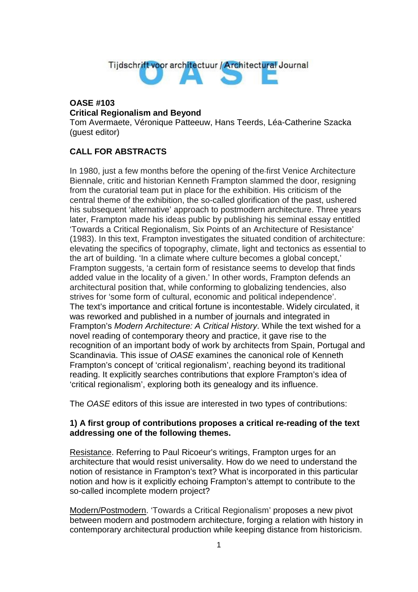

## **OASE #103 Critical Regionalism and Beyond**

Tom Avermaete, Véronique Patteeuw, Hans Teerds, Léa-Catherine Szacka (guest editor)

## **CALL FOR ABSTRACTS**

In 1980, just a few months before the opening of the first Venice Architecture Biennale, critic and historian Kenneth Frampton slammed the door, resigning from the curatorial team put in place for the exhibition. His criticism of the central theme of the exhibition, the so-called glorification of the past, ushered his subsequent 'alternative' approach to postmodern architecture. Three years later, Frampton made his ideas public by publishing his seminal essay entitled 'Towards a Critical Regionalism, Six Points of an Architecture of Resistance' (1983). In this text, Frampton investigates the situated condition of architecture: elevating the specifics of topography, climate, light and tectonics as essential to the art of building. 'In a climate where culture becomes a global concept,' Frampton suggests, 'a certain form of resistance seems to develop that finds added value in the locality of a given.' In other words, Frampton defends an architectural position that, while conforming to globalizing tendencies, also strives for 'some form of cultural, economic and political independence'. The text's importance and critical fortune is incontestable. Widely circulated, it was reworked and published in a number of journals and integrated in Frampton's *Modern Architecture: A Critical History*. While the text wished for a novel reading of contemporary theory and practice, it gave rise to the recognition of an important body of work by architects from Spain, Portugal and Scandinavia. This issue of *OASE* examines the canonical role of Kenneth Frampton's concept of 'critical regionalism', reaching beyond its traditional reading. It explicitly searches contributions that explore Frampton's idea of 'critical regionalism', exploring both its genealogy and its influence.

The *OASE* editors of this issue are interested in two types of contributions:

## **1) A first group of contributions proposes a critical re-reading of the text addressing one of the following themes.**

Resistance. Referring to Paul Ricoeur's writings, Frampton urges for an architecture that would resist universality. How do we need to understand the notion of resistance in Frampton's text? What is incorporated in this particular notion and how is it explicitly echoing Frampton's attempt to contribute to the so-called incomplete modern project?

Modern/Postmodern. 'Towards a Critical Regionalism' proposes a new pivot between modern and postmodern architecture, forging a relation with history in contemporary architectural production while keeping distance from historicism.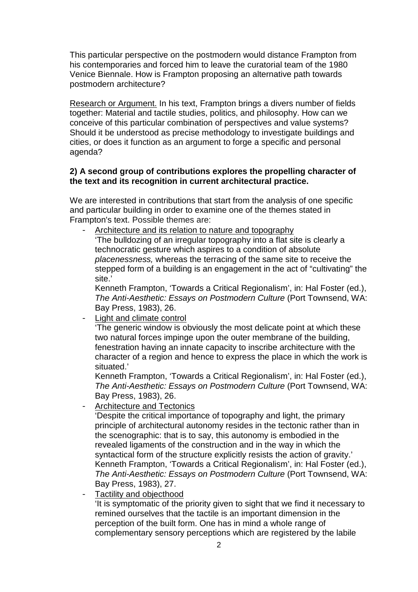This particular perspective on the postmodern would distance Frampton from his contemporaries and forced him to leave the curatorial team of the 1980 Venice Biennale. How is Frampton proposing an alternative path towards postmodern architecture?

Research or Argument. In his text, Frampton brings a divers number of fields together: Material and tactile studies, politics, and philosophy. How can we conceive of this particular combination of perspectives and value systems? Should it be understood as precise methodology to investigate buildings and cities, or does it function as an argument to forge a specific and personal agenda?

## **2) A second group of contributions explores the propelling character of the text and its recognition in current architectural practice.**

We are interested in contributions that start from the analysis of one specific and particular building in order to examine one of the themes stated in Frampton's text. Possible themes are:

Architecture and its relation to nature and topography 'The bulldozing of an irregular topography into a flat site is clearly a technocratic gesture which aspires to a condition of absolute *placenessness,* whereas the terracing of the same site to receive the stepped form of a building is an engagement in the act of "cultivating" the site.'

Kenneth Frampton, 'Towards a Critical Regionalism', in: Hal Foster (ed.), *The Anti-Aesthetic: Essays on Postmodern Culture* (Port Townsend, WA: Bay Press, 1983), 26.

Light and climate control

'The generic window is obviously the most delicate point at which these two natural forces impinge upon the outer membrane of the building, fenestration having an innate capacity to inscribe architecture with the character of a region and hence to express the place in which the work is situated.'

Kenneth Frampton, 'Towards a Critical Regionalism', in: Hal Foster (ed.), *The Anti-Aesthetic: Essays on Postmodern Culture* (Port Townsend, WA: Bay Press, 1983), 26.

**Architecture and Tectonics** 

'Despite the critical importance of topography and light, the primary principle of architectural autonomy resides in the tectonic rather than in the scenographic: that is to say, this autonomy is embodied in the revealed ligaments of the construction and in the way in which the syntactical form of the structure explicitly resists the action of gravity.' Kenneth Frampton, 'Towards a Critical Regionalism', in: Hal Foster (ed.), *The Anti-Aesthetic: Essays on Postmodern Culture* (Port Townsend, WA: Bay Press, 1983), 27.

Tactility and objecthood

'It is symptomatic of the priority given to sight that we find it necessary to remined ourselves that the tactile is an important dimension in the perception of the built form. One has in mind a whole range of complementary sensory perceptions which are registered by the labile